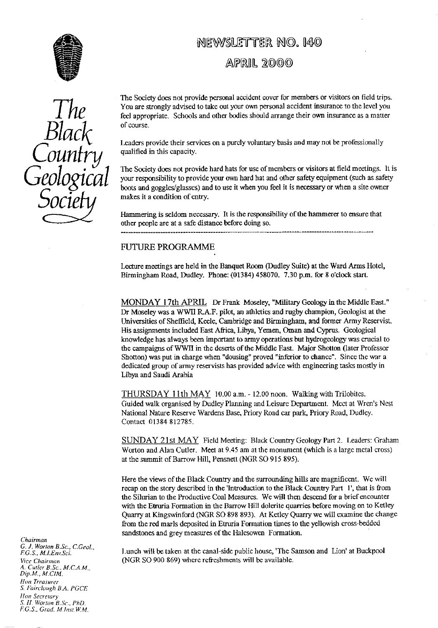

# *The Black* Country *Geological Socie*

# NEWSLETTER NO. 140

APRIL 2000

The Society does not provide personal accident cover for members or visitors on field trips. You are strongly advised to take out your own personal accident insurance to the level you feel appropriate. Schools and other bodies should arrange their own insurance as a matter of course.

Leaders provide their services on a purely voluntary basis and may not **be** professionally qualified in this capacity.

The Society does not provide hard hats for use of members or visitors at **field** meetings. It is your responsibility to provide your own hard hat and other safety equipment (such as safety boots and goggles/glasses) and to use it when you feel it is necessary or when a site owner makes it a condition of entry.

Hammering is seldom necessary. It is the responsibility of the hammerer to ensure that other people are at a safe distance before doing so.

## FUTURE **PROGRAMME**

Lecture meetings are held in the Banquet Room (Dudley Suite) at the Ward Arms Hotel, Birmingham Road, Dudley. Phone: (01384) 458070, 7.30 p.m. for 8 o'clock start.

MONDAY 17th APRIL Dr Frank Moseley, "Military Geology in the Middle East." Dr Moseley was a WWII RA.F. pilot, an athletics and rugby champion, Geologist at the Universities of **Sheffield,** Keele, Cambridge and Birmingham, and former Army Reservist. His assignments included East Africa, Libya, Yemen, Oman and Cyprus. Geological knowledge has always been important to army operations but hydrogeology was crucial to the campaigns of WWII in the deserts of the Middle East. Major Shotton (later Professor Shotton) was put in charge when "dousing" proved "inferior to chance". Since the war a dedicated group of army reservists has provided advice with engineering tasks mostly in Libya and Saudi Arabia

THURSDAY 11th MAY 10.00 a.m. - 12.00 noon. Walking with Trilobites. Guided walk organised by Dudley Planning and Leisure Department. Meet at Wren's Nest National Nature Reserve Wardens Base, Priory Road car park, Priory Road, Dudley. Contact 01384 812785,

SUNDAY 21st MAY Field Meeting: Black Country Geology Part 2. Leaders: Graham Worton and Alan Cutler. Meet at 9.45 am at the monument (which is a large metal cross) at the summit of Barrow Hill, Pensnett (NGR SO 915 895).

Here the views of the Black Country and the surrounding hills are magnificent. We will recap on the story described in the 'Introduction to the Black Country Part 1', that is from the Silurian to the Productive Coal Measures. We will then descend for a brief encounter with the Etruria Formation in the Barrow Hill dolerite quarries before moving on to Ketley Quarry at Kingswinford (NGR SO 898 893). At Ketley Quarry we will examine the change from the red marls deposited in Etruria Formation times to the yellowish cross-bedded sandstones and grey measures of the Halesowen Formation.

l unch will be taken at the canal-side public house, 'The Samson and Lion' at Buckpool (NGR SO 900 869) where refreshments will be available.

*Chairman G. J. Worton B.Sc., C.Geol F.G.S., M.I\_Enu\_Sci. Vice* Chairman *A. Curler B.Sc., M.C.A.M,, Dip. M., M.CIM.* Hon Treasurer *S. fairc:lough B.A. PGCE lion Secretary S. ff Worlon B.Sc., PhD, F.G.S., Grad.* M.1nsi. W.M.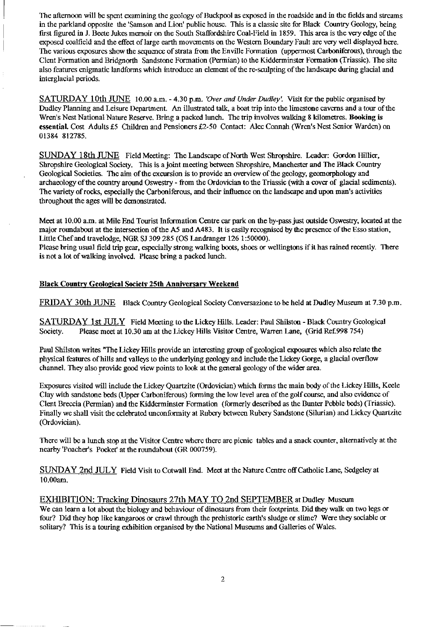The afternoon will be spent examining the geology of Buckpool as exposed in the roadside and in the fields and streams in the parkland opposite the 'Samson and Lion' public house. This is a classic site for Black Country Geology, being first figured in J. Beete Jukes memoir on the South Staffordshire Coal-Field in 1859. This area is the *very* edge of the exposed coalfield and the effect of large earth movements on the Western Boundary Fault are very well displayed here. The various exposures show the sequence of strata from the Enville Formation (uppermost Carboniferous), through the Clent Formation and Bridgnorth Sandstone Formation (Permian) to the Kidderminster Formation (Triassic). The site also features enigmatic landforms which introduce an element of the re-sculpting of the landscape during glacial and interglacial periods.

SATURDAY 10th JUNE 10.00 a.m. - *4.30 p.m. 'Over and Under Dudley .* Visit for the public organised *by* Dudley Planning and Leisure Department. An illustrated talk, a boat trip into the limestone caverns and a tour of the Wren's Nest National Nature Reserve. Bring a packed lunch. The trip involves walking 8 kilometres. **Booking is** essential. Cost Adults £5 Children and Pensioners £2-50 Contact: Alec Connah (Wren's Nest Senior Warden) on 01384 812785.

SUNDAY 18th JUNE Field Meeting: The Landscape of North West Shropshire. Leader: Gordon Hillier, Shropshire Geological Society. This is a joint meeting between Shropshire, Manchester and The Black Country Geological Societies. The aim of the excursion is to provide an overview of the geology, geomorphology and archaeology of the country around Oswestry - from the Ordovician to the Triassic (with a cover of glacial sediments). The variety of rocks, especially the Carboniferous, and their influence on the landscape and upon man's activities throughout the ages will be demonstrated.

Meet at 10.00 a.m. at Mile End Tourist Information Centre car park on the by-pass just outside Oswestry, located at the major roundabout at the intersection of the A5 and A483. It is easily recognised by the presence of the Esso station, Little Chef and travelodge, NGR SJ 309 285 (OS Landranger 126 1:50000).

Please bring usual field trip gear, especially strong walking boots, shoes or wellingtons if it has rained recently. There is not a lot of walking involved. Please bring a packed lunch.

# **Black Countr<sup>y</sup> Geological Society 25th Anniversar<sup>y</sup> Weekend**

FRIDAY 30th JUNE Black Country Geological Society Conversazione to be held at Dudley Museum at 7.30 p.m.

SATURDAY 1st JULY Field Meeting to the Lickey Hills. Leader: Paul Shilston - Black Country Geological Society. Please meet at 10.30 am at the Lickey Hills Visitor Centre, Warren Lane, (Grid Ref.998 754)

Paul Shilston writes "The Lickey Hills provide an interesting group of geological exposures which also relate the physical features of hills and valleys to the underlying geology and include the Lickey Gorge, a glacial overflow channel. They also provide good view points to look at the general geology of the wider area.

Exposures visited will include the Lickey Quartzite (Ordovician) which forms the main body of the Lickey Hills, Keele Clay with sandstone beds (Upper Carboniferous) forming the low level area of the golf course, and also evidence of Clent Breccia (Permian) and the Kidderminster Formation (formerly described as the Bunter Pebble beds) (Triassic). Finally we shall visit the celebrated unconformity at Rubery between Rubery Sandstone (Silurian) and Lickey Quartzite (Ordovician).

There will be a lunch stop at the Visitor Centre where there are picnic tables and a snack counter, alternatively at the nearby 'Poacher's Pocket' at the roundabout (GR 000759).

SUNDAY 2nd JULY Field Visit to Cotwall End. Meet at the Nature Centre off Catholic Lane, Sedgeley at 10.00am.

EXHIBITION: Tracking Dinosaurs 27th MAY TO 2nd SEPTEMBER at Dudley Museum We can learn a lot about the biology and behaviour of dinosaurs from their footprints. Did they walk on two legs or four? Did they hop like kangaroos or crawl through the prehistoric earth's sludge or slime? Were they sociable or solitary? This is a touring exhibition organised by the National Museums and Galleries of Wales.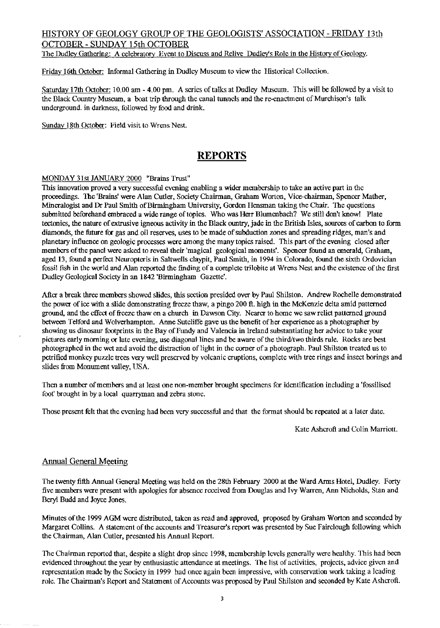# HISTORY OF GEOLOGY GROUP OF THE GEOLOGISTS' ASSOCIATION - FRIDAY 13th OCTOBER - SUNDAY 15th OCTOBER

The Dudley Gathering: A celebrator y Event to Discuss and Relive Dudley's Role in the Histor<sup>y</sup> of Geology.

Friday 16th October: Informal Gathering in Dudley Museum to view the Historical Collection.

Saturday 17th October: 10.00 am - 4.00 pm. A series of talks at Dudley Museum. This will be followed by a visit to the Black Country Museum, a boat trip through the canal tunnels and the re-enactment of Murchison's talk underground. in darkness, followed by food and drink.

Sunday 18th October: Field visit to Wrens Nest.

# **REPORTS**

## MONDAY 31st JANUARY 2000 "Brains Trust"

This innovation proved a very successful evening enabling a wider membership to take an active part in the proceedings. The 'Brains' were Alan Cutler, Society Chairman, Graham Worton, Vice-chairman, Spencer Mather, Mineralogist and Dr Paul Smith of Birmingham University, Gordon Ilensman taking the Chair. The questions submitted beforehand embraced a wide range of topics. Who was Herr Blumenbach? We still don't know! Plate tectonics, the nature of extrusive igneous activity in the Black ountry, jade in the British Isles, sources of carbon to form diamonds, the future for gas and oil reserves, uses to be made of subduction zones and spreading ridges, man's and planetary influence on geologic processes were among the many topics raised. This part of the evening closed after members of the panel were asked to reveal their 'magical geological moments'. Spencer found an emerald, Graham, aged 13, found a perfect Neuropteris in Saltwells claypit, Paul Smith, in 1994 in Colorado, found the sixth Ordovician fossil fish in the world and Alan reported the finding of a complete trilobite at Wrens Nest and the existence of the first Dudley Geological Society in an 1842 'Birmingham Gazette'.

After a break three members showed slides, this section presided over by Paul Shilston. Andrew Rochelle demonstrated the power of ice with a slide demonstrating freeze thaw, a pingo 200 ft. high in the McKenzie delta amid patterned ground, and the effect of freeze thaw on a church in Dawson City. Nearer to home we saw relict patterned ground between Telford and Wolverhampton. Anne Sutcliffe gave us the benefit of her experience as a photographer by showing us dinosaur footprints in the Bay of Fundy and Valencia in Ireland substantiating her advice to take your pictures early morning or late evening, use diagonal lines and be aware of the third/two thirds rule. Rocks are best photographed in the wet and avoid the distraction of light in the corner of a photograph. Paul Shilston treated us to petrified monkey puzzle trees very well preserved by volcanic eruptions, complete with tree rings and insect borings and slides from Monument valley, USA.

Then a number of members and at least one non-member brought specimens for identification including a'fossilised foot' brought in by a local quarryman and zebra stone.

Those present felt that the evening had been very successful and that the format should be repeated at a later date.

Kate Ashcroft and Colin Marriott.

## Annual General Meetin

The twenty fifth Annual General Meeting was held on the 28th February 2000 at the Ward Arms Hotel, Dudley. Forty five members were present with apologies for absence received from Douglas and Ivy Warren, Ann Nicholds, Stan and Beryl Budd and Joyce Jones.

Minutes of the 1999 AGM were distributed, taken as read and approved, proposed by Graham Worton and seconded by Margaret Collins. A statement of the accounts and Treasurer's report was presented by Sue Fairclough following which the Chairman, Alan Cutler, presented his Annual Report.

The Chairman reported that, despite a slight drop since 1998, membership levels generally were healthy. This had been evidenced throughout the year by enthusiastic attendance at meetings. The list of activities, projects, advice given and representation made by the Society in 1999 had once again been impressive, with conservation work taking a leading role. The Chairman's Report and Statement of Accounts was proposed by Paul Shilston and seconded by Kate Ashcroft.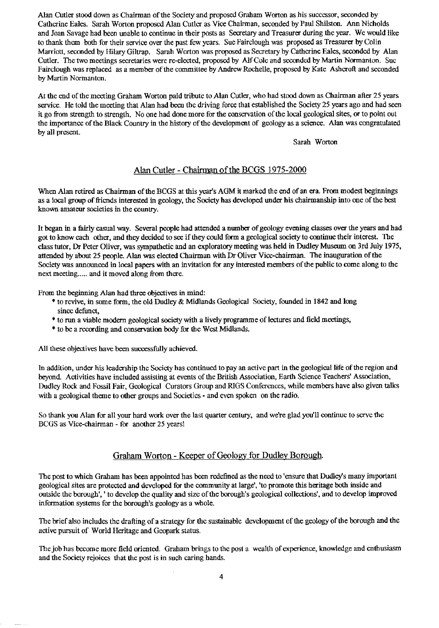Alan Cutler stood down as Chairman of the Society and proposed Graham Worton as his successor, seconded by Catherine Bales. Sarah Worton proposed Alan Cutler as Vice Chairman, seconded by Paul Shilston. Ann Nicholds and Joan Savage had been unable to continue in their posts as Secretary and Treasurer during the year. We would like to thank them both for their service over the past few years. Sue Fairclough was proposed as Treasurer by Colin Marriott, seconded by Hilary Giltrap. Sarah Worton was proposed as Secretary by Catherine Eales, seconded by Alan Cutler. The two meetings secretaries were re-elected, proposed by Alf Cole and seconded by Martin Normanton. Sue Fairclough was replaced as a member of the committee by Andrew Rochelle, proposed by Kate Ashcroft and seconded by Martin Normanton.

At the end of the meeting Graham Worton paid tribute to Alan Cutler, who had stood down as Chairman after 25 years service. He told the meeting that Alan had been the driving force that established the Society 25 years ago and had seen it go from strength to strength. No one had done more for the conservation of the local geological sites, or to point out the importance of the Black Country in the history of the development of geology as a science. Alan was congratulated by all present.

Sarah Worton

## Alan Cutler - Chairman of the BCGS 1975-2000

When Alan retired as Chairman of the BCGS at this year's AGM it marked the end of an era. From modest beginnings as a local group of friends interested in geology, the Society has developed under his chairmanship into one of the best known amateur societies in the country.

It began in a fairly casual way. Several people had attended a number of geology evening classes over the years and had got to know each other, and they decided to see if they could form a geological society to continue their interest. The class tutor, Dr Peter Oliver, was sympathetic and an exploratory meeting was held in Dudley Museum on 3rd July 1975, attended by about 25 people. Alan was elected Chairman. with Dr Oliver Vice-chairman. The inauguration of the Society was announced in local papers with an invitation for any interested members of the public to come along to the next meeting..... and it moved along from there.

From the beginning Alan had three objectives in mind:

- \* to revive, in some form, the old Dudley & Midlands Geological Society, founded in 1842 and long since defunct,
- \* to run a viable modem geological society with a lively programme of lectures and field meetings,
- \* to be a recording and conservation body for the West Midlands.

All these objectives have been successfully achieved.

In addition, under his leadership the Society has continued to pay an active part in the geological life of the region and beyond. Activities have included assisting at events of the British Association, Earth Science Teachers' Association, Dudley Rock and Fossil Fair, Geological Curators Group and RIGS Conferences, while members have also given talks with a geological theme to other groups and Societies - and even spoken on the radio.

So thank you Alan for all your hard work over the last quarter century, and were glad you'll continue to serve the BCGS as Vice-chairman - for another 25 years!

## Graham Worton - Keeper of Geology for Dudley Borough.

The post to which Graham has been appointed has been redefined as the need to 'ensure that Dudley's many important geological sites are protected and developed for the community at large', 'to promote this heritage both inside and outside the borough', 'to develop the quality and size of the borough's geological collections', and to develop improved information systems for the borough's geology as a whole.

The brief also includes the drafting of a strategy for the sustainable development of the geology of the borough and the active pursuit of World Heritage and Geopark status.

The job has become more field oriented. Graham brings to the post a wealth of experience, knowledge and enthusiasm and the Society rejoices that the post is in such caring hands.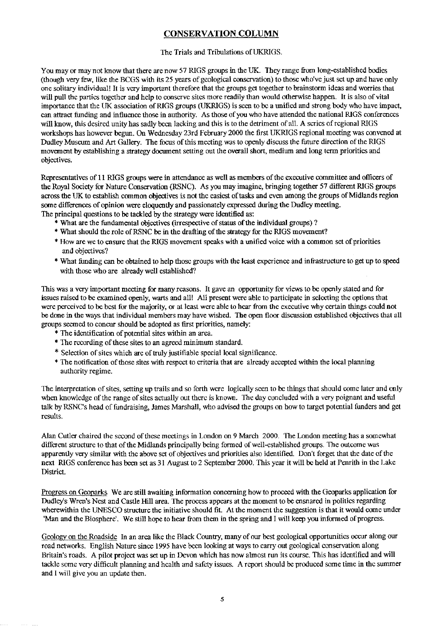# **CONSERVATION COLUMN**

## The Trials and Tribulations of UKRIGS.

You may or may not know that there are now 57 RIGS groups in the UK. They range from long-established bodies (though very few, like the BCGS with its 25 years of geological conservation) to those who've just set up and have only one solitary individual! It is very important therefore that the groups get together to brainstorm ideas and worries that will pull the parties together and help to conserve sites more readily than would otherwise happen. It is also of vital importance that the UK association of RIGS groups (UKRIGS) is seen to be a unified and strong body who have impact, can attract funding and influence those in authority. As those of you who have attended the national RIGS conferences will know, this desired unity has sadly been lacking and this is to the detriment of all. A series of regional RIGS workshops has however begun. On Wednesday 23rd February 2000 the first UKRIGS regional meeting was convened at Dudley Museum and Art Gallery. The focus of this meeting was to openly discuss the future direction of the RIGS movement by establishing a strategy document setting out the overall short, medium and long term priorities and objectives.

Representatives of 11 RIGS groups were in attendance as well as members of the executive committee and officers of the Royal Society for Nature Conservation (RSNC). As you may imagine, bringing together 57 different RIGS groups across the UK to establish common objectives is not the easiest of tasks and even among the groups of Midlands region some differences of opinion were eloquently and passionately expressed during the Dudley meeting. The principal questions to be tackled by the strategy were identified as:

- \* What are the fundamental objectives (irrespective of status of the individual groups) ?
- \* What should the role of RSNC be in the drafting of the strategy for the RIGS movement?
- \* How are we to ensure that the RIGS movement speaks with a unified voice with a common set of priorities and objectives?
- \* What funding can be obtained to help those groups with the least experience and infrastructure to get up to speed with those who are already well established?

This was a very important meeting for many reasons. It gave an opportunity for views to be openly stated and for issues raised to be examined openly, warts and all! All present were able to participate in selecting the options that were perceived to be best for the majority, or at least were able to hear from the executive why certain things could not be done in the ways that individual members may have wished. The open floor discussion established objectives that all groups seemed to concur should be adopted as first priorities, namely:

- \* The identification of potential sites within an area.
- \* The recording of these sites to an agreed minimum standard.
- \* Selection of sites which are of truly justifiable special local significance.
- \* The notification of those sites with respect to criteria that are already accepted within the local planning authority regime.

The interpretation of sites, setting up trails and so forth were logically seen to be things that should come later and only when knowledge of the range of sites actually out there is known. The day concluded with a very poignant and useful talk by RSNC's head of fundraising, James Marshall, who advised the groups on how to target potential funders and get results.

Alan Cutler chaired the second of these meetings in London on 9 March 2000. The London meeting has a somewhat different structure to that of the Midlands principally being formed of well-established groups. The outcome was apparently very similar with the above set of objectives and priorities also identified. Don't forget that the date of the next RIGS conference has been set as 31 August to 2 September 2000. This year it will be held at Penrith in the Lake District.

Progress on Geoparks We are still awaiting information concerning how to proceed with the Gcoparks application for Dudley's Wren's Nest and Castle Hill area. The process appears at the moment to be ensnared in politics regarding wherewithin the UNESCO structure the initiative should fit. At the moment the suggestion is that it would come under 'Man and the Biosphere'. We still hope to hear from them in the spring and I will keep you informed of progress.

Geology on the Roadside In an area like the Black Country, many of our best geological opportunities occur along our road networks. English Nature since 1995 have been looking at ways to carry out geological conservation along Britain's roads. A pilot project was setup in Devon which has now almost run its course. This has identified and will tackle some very difficult planning and health and safety issues. A report should be produced some time in the summer and I will give you an update then.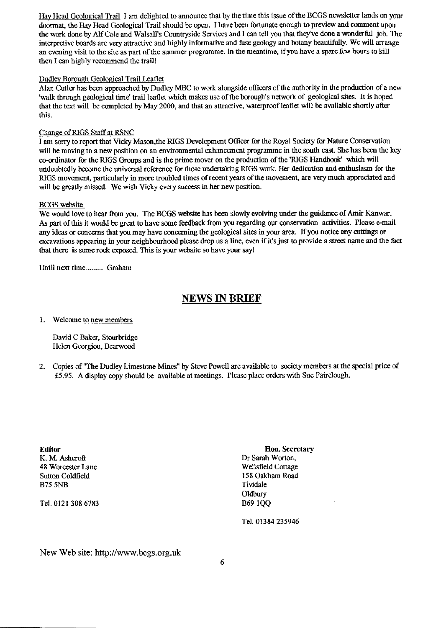Hay Head Geological Trail I am delighted to announce that by the time this issue of the BCGS newsletter lands on your doormat, the Hay Head Geological Trail should be open. I have been fortunate enough to preview and comment upon the work done by Alf Cole and Walsall's Countryside Services and I can tell you that they've done a wonderful job. The interpretive boards are very attractive and highly informative and fuse geology and botany beautifully. We will arrange an evening visit to the site as part of the summer programme. In the meantime, if you have a spare few hours to kill then I can highly recommend the trail!

#### Dudley Borough Geological Trail Leaflet

Alan Cutler has been approached by Dudley MBC to work alongside officers of the authority in the production of a new 'walk through geological time' trail leaflet which makes use of the borough's network of geological sites. It is hoped that the text will be completed by May 2000, and that an attractive, waterproof leaflet will be available shortly after this.

#### Change of RIGS Staff at RSNC

I am sorry to report that Vicky Mason,the RIGS Development Officer for the Royal Society for Nature Conservation will be moving to a new position on an environmental enhancement programme in the south east. She has been the key co-ordinator for the RIGS Groups and is the prime mover on the production of the 'RIGS Handbook' which will undoubtedly become the universal reference for those undertaking RIGS work. Her dedication and enthusiasm for the RIGS movement, particularly in more troubled times of recent years of the movement, are very much appreciated and will be greatly missed. We wish Vicky every success in her new position.

#### BCGS website

We would love to hear from you. The BCGS website has been slowly evolving under the guidance of Amir Kanwar. As part of this it would be great to have some feedback from you regarding our conservation activities. Please e-mail any ideas or concerns that you may have concerning the geological sites in your area. If you notice any cuttings or excavations appearing in your neighbourhood please drop us a line, even if it's just to provide a street name and the fact that there is some rock exposed. This is your website so have your say!

Until next time......... Graham

# **NEWS IN BRIEF**

#### 1. Welcome to new members

David C Baker, Stourbridge Helen Georgiou, Bearwood

2. Copies of "The Dudley Limestone Mines" by Steve Powell are available to society members at the special price of £5.95. A display copy should be available at meetings. Please place orders with Sue Fairclough.

K. M. Ashcroft Dr Sarah Worton, 48 Worcester Lane Wellsfield Cottage Sutton Coldfield 158 Oakham Road B75 5NB Tividale

Tel. 0121 308 6783 B69 1QQ

**Editor Hon. Secretary** Oldbury

Tel. 01384 235946

New Web site: http://www.bcgs.org.uk